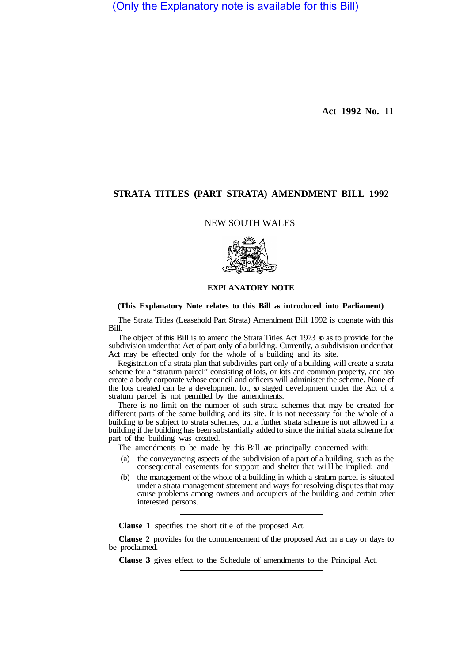(Only the Explanatory note is available for this Bill)

**Act 1992 No. 11** 

# **STRATA TITLES (PART STRATA) AMENDMENT BILL 1992**

## NEW SOUTH WALES



# **EXPLANATORY NOTE**

### **(This Explanatory Note relates to this Bill as introduced into Parliament)**

The Strata Titles (Leasehold Part Strata) Amendment Bill 1992 is cognate with this Bill.

The object of this Bill is to amend the Strata Titles Act 1973  $\sigma$  as to provide for the subdivision under that Act of part only of a building. Currently, a subdivision under that Act may be effected only for the whole of a building and its site.

Registration of a strata plan that subdivides part only of a building will create a strata scheme for a "stratum parcel" consisting of lots, or lots and common property, and also create a body corporate whose council and officers will administer the scheme. None of the lots created can be a development lot,  $\infty$  staged development under the Act of a stratum parcel is not permitted by the amendments.

There is no limit on the number of such strata schemes that may be created for different parts of the same building and its site. It is not necessary for the whole of a building to be subject to strata schemes, but a further strata scheme is not allowed in a building if the building has been substantially added to since the initial strata scheme for part of the building was created.

The amendments to be made by this Bill are principally concerned with:

- (a) the conveyancing aspects of the subdivision of a part of a building, such as the consequential easements for support and shelter that will be implied; and
- (b) the management of the whole of a building in which a stratum parcel is situated under a strata management statement and ways for resolving disputes that may cause problems among owners and occupiers of the building and certain other interested persons.

**Clause 1** specifies the short title of the proposed Act.

**Clause 2** provides for the commencement of the proposed Act on a day or days to be proclaimed.

**Clause 3** gives effect to the Schedule of amendments to the Principal Act.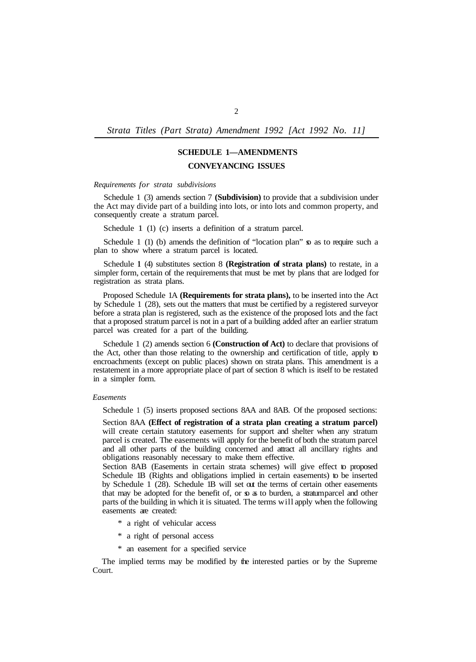*Strata Titles (Part Strata) Amendment 1992 [Act 1992 No. 11]* 

# **SCHEDULE 1—AMENDMENTS CONVEYANCING ISSUES**

*Requirements for strata subdivisions* 

Schedule 1 (3) amends section 7 **(Subdivision)** to provide that a subdivision under the Act may divide part of a building into lots, or into lots and common property, and consequently create a stratum parcel.

Schedule 1 (1) (c) inserts a definition of a stratum parcel.

Schedule 1 (1) (b) amends the definition of "location plan"  $\boldsymbol{\mathfrak{s}}$  as to require such a plan to show where a stratum parcel is located.

Schedule **1** (4) substitutes section 8 **(Registration of strata plans)** to restate, in a simpler form, certain of the requirements that must be met by plans that are lodged for registration as strata plans.

Proposed Schedule 1A **(Requirements for strata plans),** to be inserted into the Act by Schedule 1 (28), sets out the matters that must be certified by a registered surveyor before a strata plan is registered, such as the existence of the proposed lots and the fact that a proposed stratum parcel is not in a part of a building added after an earlier stratum parcel was created for a part of the building.

Schedule 1 (2) amends section 6 **(Construction of Act)** to declare that provisions of the Act, other than those relating to the ownership and certification of title, apply to encroachments (except on public places) shown on strata plans. This amendment is a restatement in a more appropriate place of part of section 8 which is itself to be restated in a simpler form.

#### *Easements*

Schedule 1 (5) inserts proposed sections 8AA and 8AB. Of the proposed sections:

Section 8AA **(Effect of registration of a strata plan creating a stratum parcel)**  will create certain statutory easements for support and shelter when any stratum parcel is created. The easements will apply for the benefit of both the stratum parcel and all other parts of the building concerned and attract all ancillary rights and obligations reasonably necessary to make them effective.

Section 8AB (Easements in certain strata schemes) will give effect to proposed Schedule 1B (Rights and obligations implied in certain easements) to be inserted by Schedule 1 (28). Schedule 1B will set out the terms of certain other easements that may be adopted for the benefit of, or so as to burden, a stratum parcel and other parts of the building in which it is situated. The terms will apply when the following easements are created:

- \* a right of vehicular access
- \* a right of personal access
- \* an easement for a specified service

The implied terms may be modified by the interested parties or by the Supreme Court.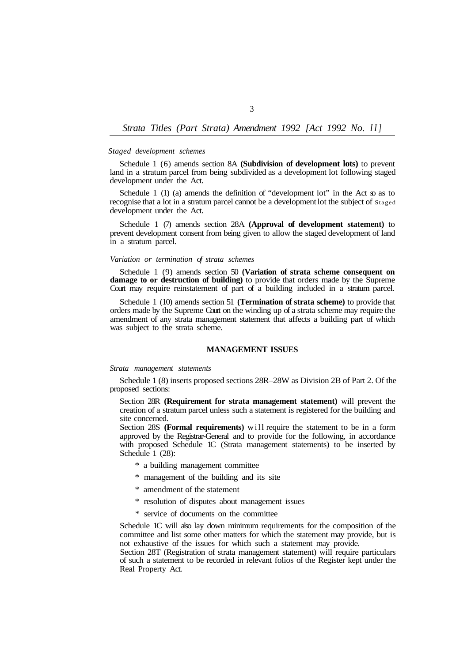# *Strata Titles (Part Strata) Amendment 1992 [Act 1992 No. II]*

#### *Staged development schemes*

Schedule 1 (6) amends section 8A **(Subdivision of development lots)** to prevent land in a stratum parcel from being subdivided as a development lot following staged development under the Act.

Schedule 1 (1) (a) amends the definition of "development lot" in the Act  $\infty$  as to recognise that a lot in a stratum parcel cannot be a development lot the subject of Staged development under the Act.

Schedule 1 (7) amends section 28A **(Approval of development statement)** to prevent development consent from being given to allow the staged development of land in a stratum parcel.

# *Variation or termination of strata schemes*

Schedule 1 (9) amends section 50 **(Variation of strata scheme consequent on damage to or destruction of building)** to provide that orders made by the Supreme Court may require reinstatement of part of a building included in a stratum parcel.

Schedule 1 (10) amends section 51 **(Termination of strata scheme)** to provide that orders made by the Supreme Court on the winding up of a strata scheme may require the amendment of any strata management statement that affects a building part of which was subject to the strata scheme.

### **MANAGEMENT ISSUES**

### *Strata management statements*

Schedule 1 (8) inserts proposed sections 28R–28W as Division 2B of Part 2. Of the proposed sections:

Section 28R **(Requirement for strata management statement)** will prevent the creation of a stratum parcel unless such a statement is registered for the building and site concerned.

Section 28S **(Formal requirements)** will require the statement to be in a form approved by the Registrar-General and to provide for the following, in accordance with proposed Schedule 1C (Strata management statements) to be inserted by Schedule 1 (28):

- \* a building management committee
- \* management of the building and its site
- \* amendment of the statement
- \* resolution of disputes about management issues
- \* service of documents on the committee

Schedule 1C will also lay down minimum requirements for the composition of the committee and list some other matters for which the statement may provide, but is not exhaustive of the issues for which such a statement may provide.

Section 28T (Registration of strata management statement) will require particulars of such a statement to be recorded in relevant folios of the Register kept under the Real Property Act.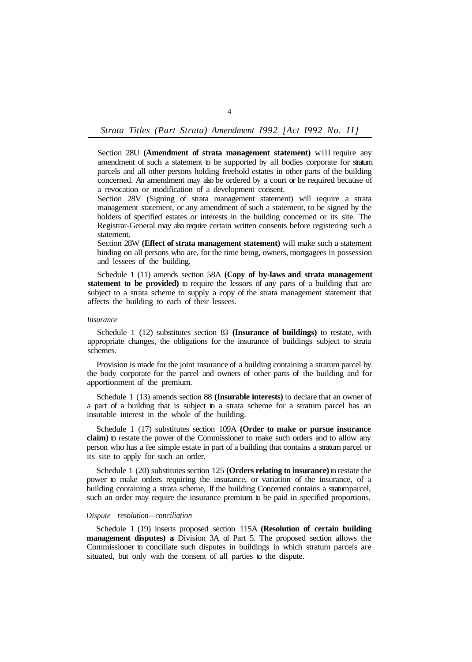*Strata Titles (Part Strata) Amendment I992 [Act I992 No. II]* 

Section 28U **(Amendment of strata management statement)** will require any amendment of such a statement to be supported by all bodies corporate for stratum parcels and all other persons holding freehold estates in other parts of the building concerned. An amendment may also be ordered by a court or be required because of a revocation or modification of a development consent.

Section 28V (Signing of strata management statement) will require a strata management statement, or any amendment of such a statement, to be signed by the holders of specified estates or interests in the building concerned or its site. The Registrar-General may also require certain written consents before registering such a statement.

Section 28W **(Effect of strata management statement)** will make such a statement binding on all persons who are, for the time being, owners, mortgagees in possession and lessees of the building.

Schedule 1 (11) amends section 58A **(Copy of by-laws and strata management statement to be provided)** to require the lessors of any parts of a building that are subject to a strata scheme to supply a copy of the strata management statement that affects the building to each of their lessees.

### *Insurance*

Schedule 1 (12) substitutes section 83 **(Insurance of buildings)** to restate, with appropriate changes, the obligations for the insurance of buildings subject to strata schemes.

Provision is made for the joint insurance of a building containing a stratum parcel by the body corporate for the parcel and owners of other parts of the building and for apportionment of the premium.

Schedule 1 (13) amends section 88 **(Insurable interests)** to declare that an owner of a part of a building that is subject to a strata scheme for a stratum parcel has an insurable interest in the whole of the building.

Schedule 1 (17) substitutes section 109A **(Order to make or pursue insurance claim)** to restate the power of the Commissioner to make such orders and to allow any person who has a fee simple estate in part of a building that contains a stratum parcel or its site to apply for such an order.

Schedule 1 (20) substitutes section 125 **(Orders relating to insurance)** to restate the power to make orders requiring the insurance, or variation of the insurance, of a building containing a strata scheme, If the building Concerned contains a stratumparcel, such an order may require the insurance premium to be paid in specified proportions.

#### *Dispute resolution—conciliation*

Schedule 1 (19) inserts proposed section 115A **(Resolution of certain building management disputes)** as Division 3A of Part 5. The proposed section allows the Commissioner to conciliate such disputes in buildings in which stratum parcels are situated, but only with the consent of all parties to the dispute.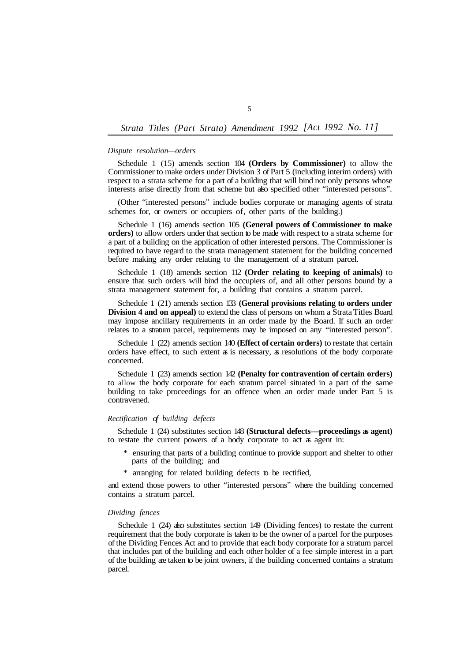# *Strata Titles (Part Strata) Amendment 1992 [Act I992 No. 11]*

### *Dispute resolution—orders*

Schedule 1 (15) amends section 104 **(Orders by Commissioner)** to allow the Commissioner to make orders under Division 3 of Part 5 (including interim orders) with respect to a strata scheme for a part of a building that will bind not only persons whose interests arise directly from that scheme but also specified other "interested persons".

(Other "interested persons" include bodies corporate or managing agents of strata schemes for, or owners or occupiers of, other parts of the building.)

Schedule 1 (16) amends section 105 **(General powers of Commissioner to make orders)** to allow orders under that section to be made with respect to a strata scheme for a part of a building on the application of other interested persons. The Commissioner is required to have regard to the strata management statement for the building concerned before making any order relating to the management of a stratum parcel.

Schedule 1 (18) amends section 112 **(Order relating to keeping of animals)** to ensure that such orders will bind the occupiers of, and all other persons bound by a strata management statement for, a building that contains a stratum parcel.

Schedule 1 (21) amends section 133 **(General provisions relating to orders under Division 4 and on appeal)** to extend the class of persons on whom a Strata Titles Board may impose ancillary requirements in an order made by the Board. If such an order relates to a stratum parcel, requirements may be imposed on any "interested person".

Schedule 1 (22) amends section 140 **(Effect of certain orders)** to restate that certain orders have effect, to such extent as is necessary, as resolutions of the body corporate concerned.

Schedule 1 (23) amends section 142 **(Penalty for contravention of certain orders)**  to allow the body corporate for each stratum parcel situated in a part of the same building to take proceedings for an offence when an order made under Part 5 is contravened.

### *Rectification of building defects*

Schedule 1 (24) substitutes section 148 **(Structural defects—proceedings as agent)**  to restate the current powers of a body corporate to act as agent in:

- \* ensuring that parts of a building continue to provide support and shelter to other parts of the building; and
- \* arranging for related building defects to be rectified,

and extend those powers to other "interested persons" where the building concerned contains a stratum parcel.

# *Dividing fences*

Schedule 1 (24) also substitutes section 149 (Dividing fences) to restate the current requirement that the body corporate is taken to be the owner of a parcel for the purposes of the Dividing Fences Act and to provide that each body corporate for a stratum parcel that includes part of the building and each other holder of a fee simple interest in a part of the building are taken to be joint owners, if the building concerned contains a stratum parcel.